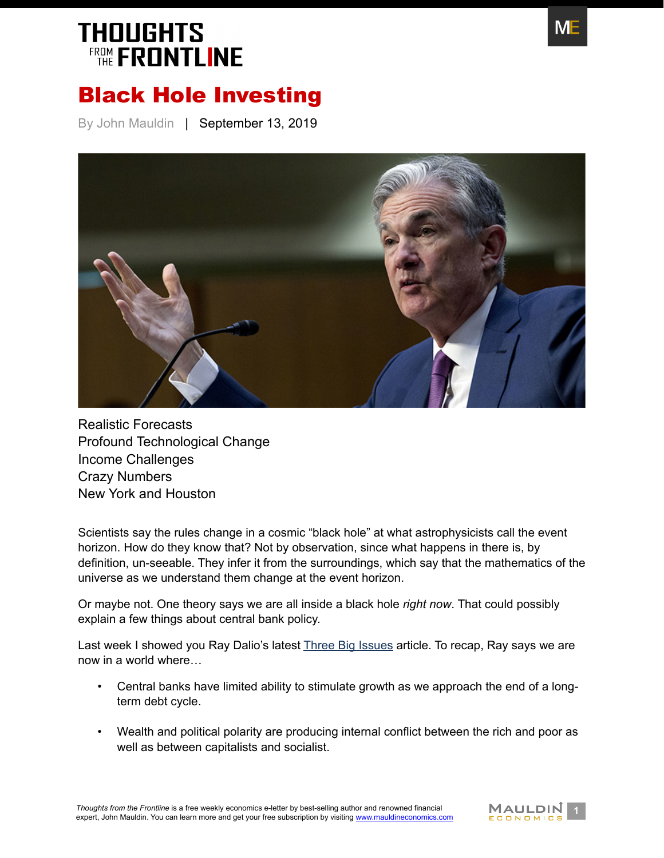

#### Black Hole Investing

By John Mauldin | September 13, 2019



[Realistic Forecasts](#page-1-0) [Profound Technological Change](#page-2-0) [Income Challenges](#page-3-0) [Crazy Numbers](#page-4-0) [New York and Houston](#page-7-0)

Scientists say the rules change in a cosmic "black hole" at what astrophysicists call the event horizon. How do they know that? Not by observation, since what happens in there is, by definition, un-seeable. They infer it from the surroundings, which say that the mathematics of the universe as we understand them change at the event horizon.

Or maybe not. One theory says we are all inside a black hole *right now*. That could possibly explain a few things about central bank policy.

Last week I showed you Ray Dalio's latest [Three Big Issues article](https://www.mauldineconomics.com/frontlinethoughts/dalios-analogue-and-mauldins-commentary). To recap, Ray says we are now in a world where…

- Central banks have limited ability to stimulate growth as we approach the end of a longterm debt cycle.
- Wealth and political polarity are producing internal conflict between the rich and poor as well as between capitalists and socialist.

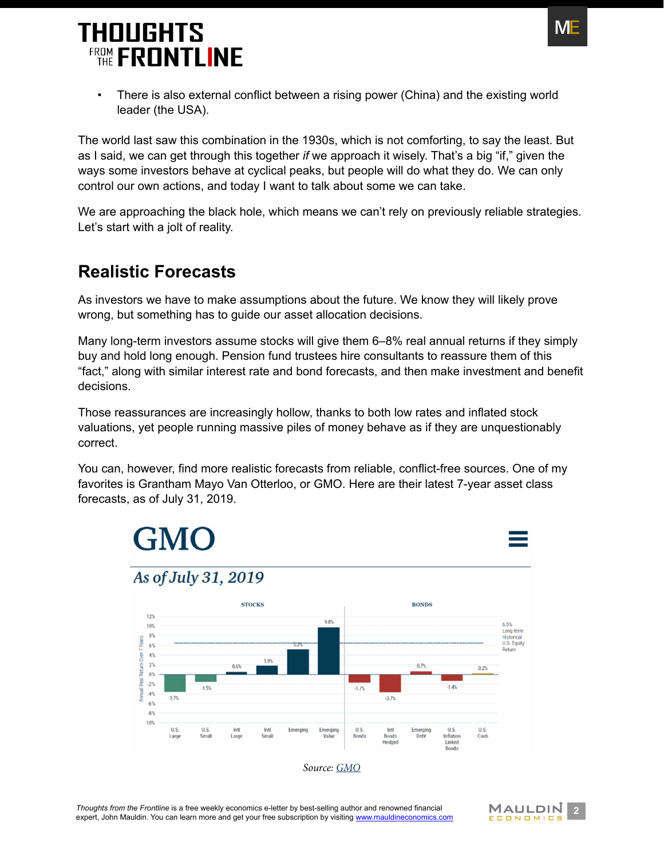

There is also external conflict between a rising power (China) and the existing world leader (the USA).

The world last saw this combination in the 1930s, which is not comforting, to say the least. But as I said, we can get through this together *if* we approach it wisely. That's a big "if," given the ways some investors behave at cyclical peaks, but people will do what they do. We can only control our own actions, and today I want to talk about some we can take.

We are approaching the black hole, which means we can't rely on previously reliable strategies. Let's start with a jolt of reality.

#### <span id="page-1-0"></span>**Realistic Forecasts**

As investors we have to make assumptions about the future. We know they will likely prove wrong, but something has to guide our asset allocation decisions.

Many long-term investors assume stocks will give them 6–8% real annual returns if they simply buy and hold long enough. Pension fund trustees hire consultants to reassure them of this "fact," along with similar interest rate and bond forecasts, and then make investment and benefit decisions.

Those reassurances are increasingly hollow, thanks to both low rates and inflated stock valuations, yet people running massive piles of money behave as if they are unquestionably correct.

You can, however, find more realistic forecasts from reliable, conflict-free sources. One of my favorites is Grantham Mayo Van Otterloo, or GMO. Here are their latest 7-year asset class forecasts, as of July 31, 2019.





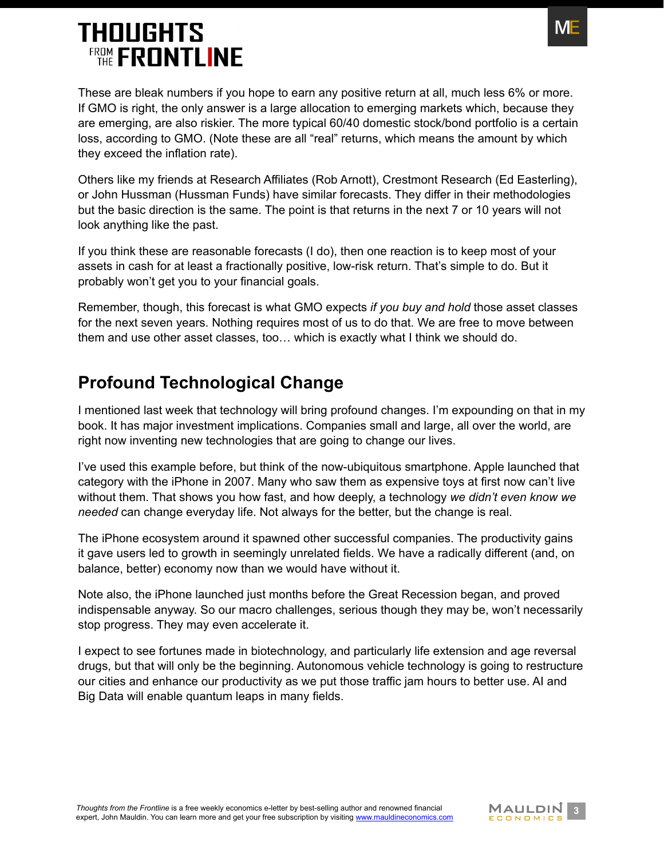

These are bleak numbers if you hope to earn any positive return at all, much less 6% or more. If GMO is right, the only answer is a large allocation to emerging markets which, because they are emerging, are also riskier. The more typical 60/40 domestic stock/bond portfolio is a certain loss, according to GMO. (Note these are all "real" returns, which means the amount by which they exceed the inflation rate).

Others like my friends at Research Affiliates (Rob Arnott), Crestmont Research (Ed Easterling), or John Hussman (Hussman Funds) have similar forecasts. They differ in their methodologies but the basic direction is the same. The point is that returns in the next 7 or 10 years will not look anything like the past.

If you think these are reasonable forecasts (I do), then one reaction is to keep most of your assets in cash for at least a fractionally positive, low-risk return. That's simple to do. But it probably won't get you to your financial goals.

Remember, though, this forecast is what GMO expects *if you buy and hold* those asset classes for the next seven years. Nothing requires most of us to do that. We are free to move between them and use other asset classes, too… which is exactly what I think we should do.

#### <span id="page-2-0"></span>**Profound Technological Change**

I mentioned last week that technology will bring profound changes. I'm expounding on that in my book. It has major investment implications. Companies small and large, all over the world, are right now inventing new technologies that are going to change our lives.

I've used this example before, but think of the now-ubiquitous smartphone. Apple launched that category with the iPhone in 2007. Many who saw them as expensive toys at first now can't live without them. That shows you how fast, and how deeply, a technology *we didn't even know we needed* can change everyday life. Not always for the better, but the change is real.

The iPhone ecosystem around it spawned other successful companies. The productivity gains it gave users led to growth in seemingly unrelated fields. We have a radically different (and, on balance, better) economy now than we would have without it.

Note also, the iPhone launched just months before the Great Recession began, and proved indispensable anyway. So our macro challenges, serious though they may be, won't necessarily stop progress. They may even accelerate it.

I expect to see fortunes made in biotechnology, and particularly life extension and age reversal drugs, but that will only be the beginning. Autonomous vehicle technology is going to restructure our cities and enhance our productivity as we put those traffic jam hours to better use. AI and Big Data will enable quantum leaps in many fields.

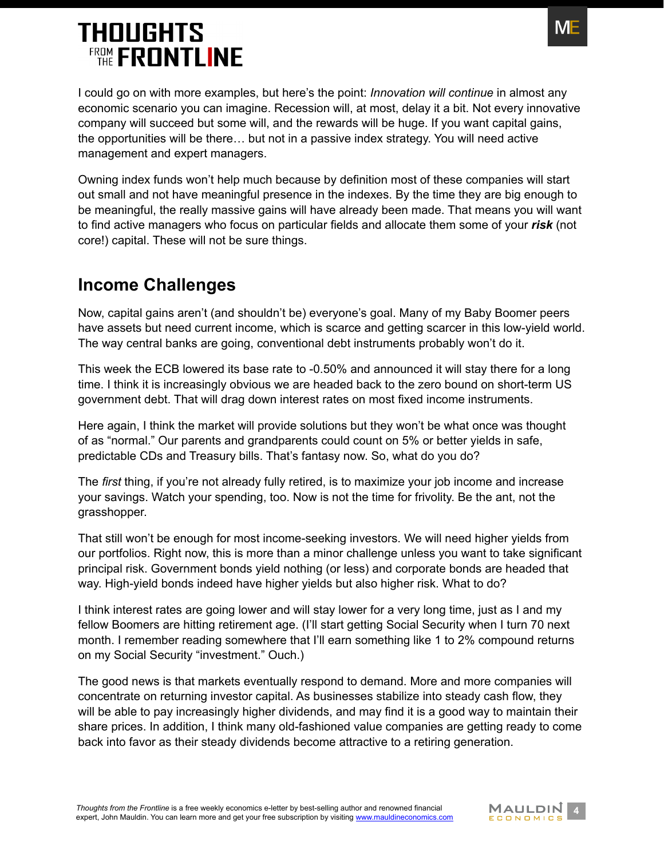

I could go on with more examples, but here's the point: *Innovation will continue* in almost any economic scenario you can imagine. Recession will, at most, delay it a bit. Not every innovative company will succeed but some will, and the rewards will be huge. If you want capital gains, the opportunities will be there… but not in a passive index strategy. You will need active management and expert managers.

Owning index funds won't help much because by definition most of these companies will start out small and not have meaningful presence in the indexes. By the time they are big enough to be meaningful, the really massive gains will have already been made. That means you will want to find active managers who focus on particular fields and allocate them some of your *risk* (not core!) capital. These will not be sure things.

#### <span id="page-3-0"></span>**Income Challenges**

Now, capital gains aren't (and shouldn't be) everyone's goal. Many of my Baby Boomer peers have assets but need current income, which is scarce and getting scarcer in this low-yield world. The way central banks are going, conventional debt instruments probably won't do it.

This week the ECB lowered its base rate to -0.50% and announced it will stay there for a long time. I think it is increasingly obvious we are headed back to the zero bound on short-term US government debt. That will drag down interest rates on most fixed income instruments.

Here again, I think the market will provide solutions but they won't be what once was thought of as "normal." Our parents and grandparents could count on 5% or better yields in safe, predictable CDs and Treasury bills. That's fantasy now. So, what do you do?

The *first* thing, if you're not already fully retired, is to maximize your job income and increase your savings. Watch your spending, too. Now is not the time for frivolity. Be the ant, not the grasshopper.

That still won't be enough for most income-seeking investors. We will need higher yields from our portfolios. Right now, this is more than a minor challenge unless you want to take significant principal risk. Government bonds yield nothing (or less) and corporate bonds are headed that way. High-yield bonds indeed have higher yields but also higher risk. What to do?

I think interest rates are going lower and will stay lower for a very long time, just as I and my fellow Boomers are hitting retirement age. (I'll start getting Social Security when I turn 70 next month. I remember reading somewhere that I'll earn something like 1 to 2% compound returns on my Social Security "investment." Ouch.)

The good news is that markets eventually respond to demand. More and more companies will concentrate on returning investor capital. As businesses stabilize into steady cash flow, they will be able to pay increasingly higher dividends, and may find it is a good way to maintain their share prices. In addition, I think many old-fashioned value companies are getting ready to come back into favor as their steady dividends become attractive to a retiring generation.

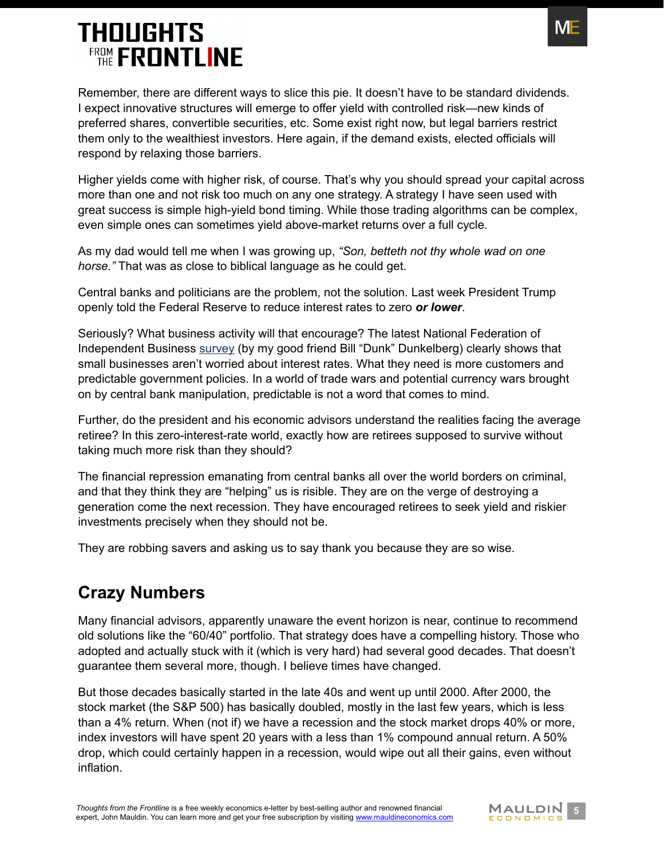

Remember, there are different ways to slice this pie. It doesn't have to be standard dividends. I expect innovative structures will emerge to offer yield with controlled risk—new kinds of preferred shares, convertible securities, etc. Some exist right now, but legal barriers restrict them only to the wealthiest investors. Here again, if the demand exists, elected officials will respond by relaxing those barriers.

Higher yields come with higher risk, of course. That's why you should spread your capital across more than one and not risk too much on any one strategy. A strategy I have seen used with great success is simple high-yield bond timing. While those trading algorithms can be complex, even simple ones can sometimes yield above-market returns over a full cycle.

As my dad would tell me when I was growing up, *"Son, betteth not thy whole wad on one horse."* That was as close to biblical language as he could get.

Central banks and politicians are the problem, not the solution. Last week President Trump openly told the Federal Reserve to reduce interest rates to zero *or lower*.

Seriously? What business activity will that encourage? The latest National Federation of Independent Business [survey](https://www.mauldineconomics.com/over_my_shoulder/nfib-small-business-optimism-survey13) (by my good friend Bill "Dunk" Dunkelberg) clearly shows that small businesses aren't worried about interest rates. What they need is more customers and predictable government policies. In a world of trade wars and potential currency wars brought on by central bank manipulation, predictable is not a word that comes to mind.

Further, do the president and his economic advisors understand the realities facing the average retiree? In this zero-interest-rate world, exactly how are retirees supposed to survive without taking much more risk than they should?

The financial repression emanating from central banks all over the world borders on criminal, and that they think they are "helping" us is risible. They are on the verge of destroying a generation come the next recession. They have encouraged retirees to seek yield and riskier investments precisely when they should not be.

They are robbing savers and asking us to say thank you because they are so wise.

#### <span id="page-4-0"></span>**Crazy Numbers**

Many financial advisors, apparently unaware the event horizon is near, continue to recommend old solutions like the "60/40" portfolio. That strategy does have a compelling history. Those who adopted and actually stuck with it (which is very hard) had several good decades. That doesn't guarantee them several more, though. I believe times have changed.

But those decades basically started in the late 40s and went up until 2000. After 2000, the stock market (the S&P 500) has basically doubled, mostly in the last few years, which is less than a 4% return. When (not if) we have a recession and the stock market drops 40% or more, index investors will have spent 20 years with a less than 1% compound annual return. A 50% drop, which could certainly happen in a recession, would wipe out all their gains, even without inflation.

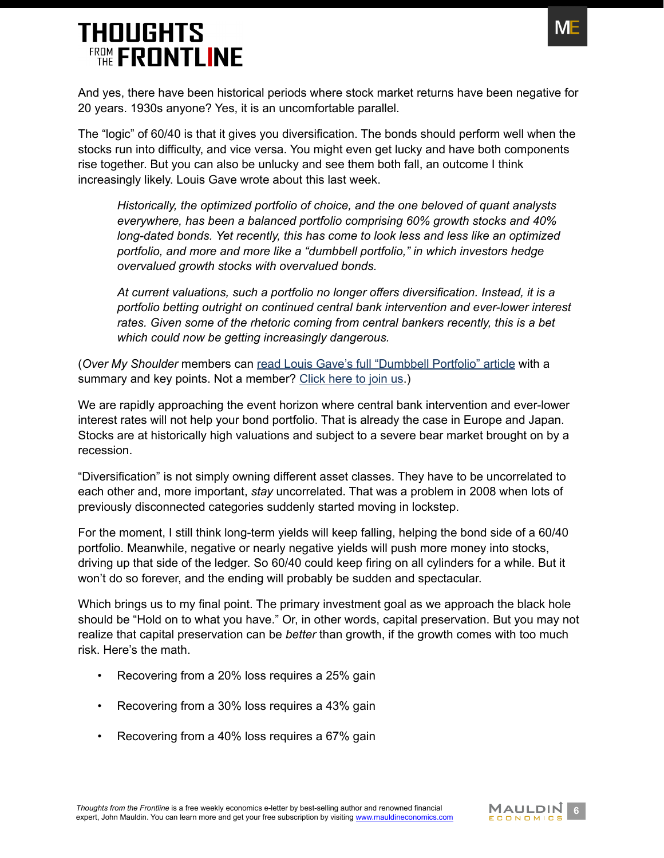

And yes, there have been historical periods where stock market returns have been negative for 20 years. 1930s anyone? Yes, it is an uncomfortable parallel.

The "logic" of 60/40 is that it gives you diversification. The bonds should perform well when the stocks run into difficulty, and vice versa. You might even get lucky and have both components rise together. But you can also be unlucky and see them both fall, an outcome I think increasingly likely. Louis Gave wrote about this last week.

*Historically, the optimized portfolio of choice, and the one beloved of quant analysts everywhere, has been a balanced portfolio comprising 60% growth stocks and 40% long-dated bonds. Yet recently, this has come to look less and less like an optimized portfolio, and more and more like a "dumbbell portfolio," in which investors hedge overvalued growth stocks with overvalued bonds.*

*At current valuations, such a portfolio no longer offers diversification. Instead, it is a portfolio betting outright on continued central bank intervention and ever-lower interest rates. Given some of the rhetoric coming from central bankers recently, this is a bet which could now be getting increasingly dangerous.*

(*Over My Shoulder* members can [read Louis Gave's full "Dumbbell Portfolio" article](https://www.mauldineconomics.com/over_my_shoulder/louis-gave-the-danger-of-a-dumbbell-portfolio) with a summary and key points. Not a member? [Click here to join us](http://www.mauldineconomics.com/go/v39ffb/MEC).)

We are rapidly approaching the event horizon where central bank intervention and ever-lower interest rates will not help your bond portfolio. That is already the case in Europe and Japan. Stocks are at historically high valuations and subject to a severe bear market brought on by a recession.

"Diversification" is not simply owning different asset classes. They have to be uncorrelated to each other and, more important, *stay* uncorrelated. That was a problem in 2008 when lots of previously disconnected categories suddenly started moving in lockstep.

For the moment, I still think long-term yields will keep falling, helping the bond side of a 60/40 portfolio. Meanwhile, negative or nearly negative yields will push more money into stocks, driving up that side of the ledger. So 60/40 could keep firing on all cylinders for a while. But it won't do so forever, and the ending will probably be sudden and spectacular.

Which brings us to my final point. The primary investment goal as we approach the black hole should be "Hold on to what you have." Or, in other words, capital preservation. But you may not realize that capital preservation can be *better* than growth, if the growth comes with too much risk. Here's the math.

- Recovering from a 20% loss requires a 25% gain
- Recovering from a 30% loss requires a 43% gain
- Recovering from a 40% loss requires a 67% gain

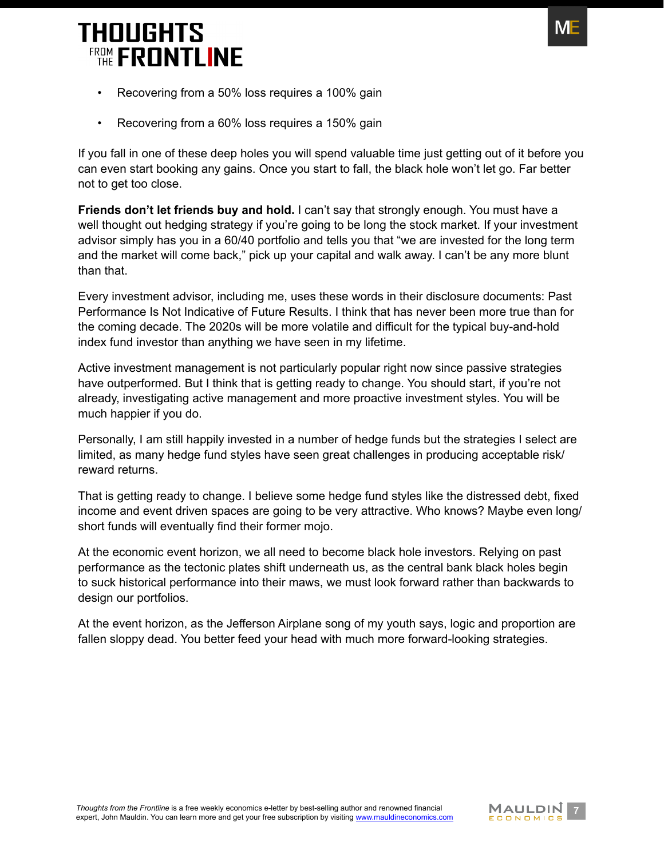

- Recovering from a 50% loss requires a 100% gain
- Recovering from a 60% loss requires a 150% gain

If you fall in one of these deep holes you will spend valuable time just getting out of it before you can even start booking any gains. Once you start to fall, the black hole won't let go. Far better not to get too close.

**Friends don't let friends buy and hold.** I can't say that strongly enough. You must have a well thought out hedging strategy if you're going to be long the stock market. If your investment advisor simply has you in a 60/40 portfolio and tells you that "we are invested for the long term and the market will come back," pick up your capital and walk away. I can't be any more blunt than that.

Every investment advisor, including me, uses these words in their disclosure documents: Past Performance Is Not Indicative of Future Results. I think that has never been more true than for the coming decade. The 2020s will be more volatile and difficult for the typical buy-and-hold index fund investor than anything we have seen in my lifetime.

Active investment management is not particularly popular right now since passive strategies have outperformed. But I think that is getting ready to change. You should start, if you're not already, investigating active management and more proactive investment styles. You will be much happier if you do.

Personally, I am still happily invested in a number of hedge funds but the strategies I select are limited, as many hedge fund styles have seen great challenges in producing acceptable risk/ reward returns.

That is getting ready to change. I believe some hedge fund styles like the distressed debt, fixed income and event driven spaces are going to be very attractive. Who knows? Maybe even long/ short funds will eventually find their former mojo.

At the economic event horizon, we all need to become black hole investors. Relying on past performance as the tectonic plates shift underneath us, as the central bank black holes begin to suck historical performance into their maws, we must look forward rather than backwards to design our portfolios.

At the event horizon, as the Jefferson Airplane song of my youth says, logic and proportion are fallen sloppy dead. You better feed your head with much more forward-looking strategies.

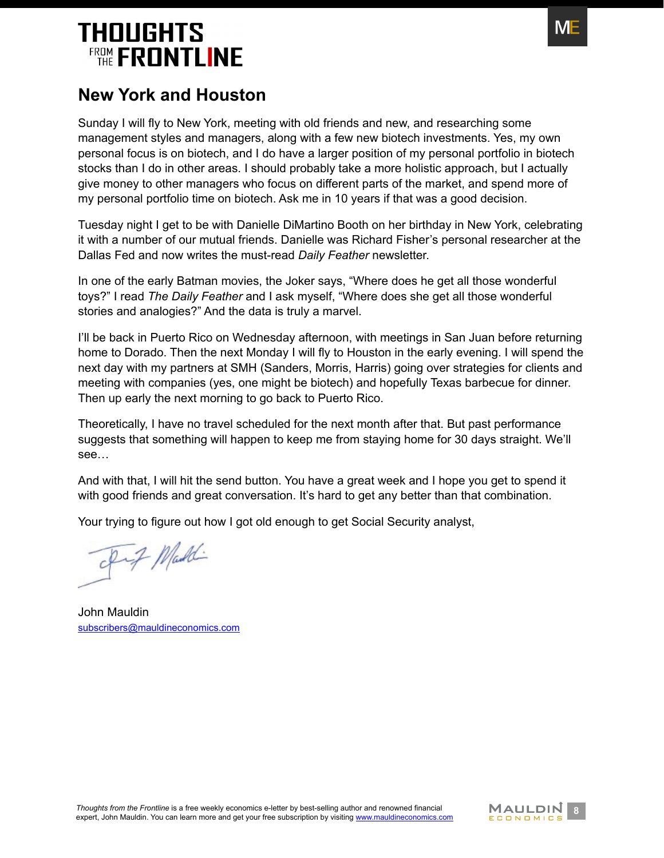

#### <span id="page-7-0"></span>**New York and Houston**

Sunday I will fly to New York, meeting with old friends and new, and researching some management styles and managers, along with a few new biotech investments. Yes, my own personal focus is on biotech, and I do have a larger position of my personal portfolio in biotech stocks than I do in other areas. I should probably take a more holistic approach, but I actually give money to other managers who focus on different parts of the market, and spend more of my personal portfolio time on biotech. Ask me in 10 years if that was a good decision.

Tuesday night I get to be with Danielle DiMartino Booth on her birthday in New York, celebrating it with a number of our mutual friends. Danielle was Richard Fisher's personal researcher at the Dallas Fed and now writes the must-read *Daily Feather* newsletter.

In one of the early Batman movies, the Joker says, "Where does he get all those wonderful toys?" I read *The Daily Feather* and I ask myself, "Where does she get all those wonderful stories and analogies?" And the data is truly a marvel.

I'll be back in Puerto Rico on Wednesday afternoon, with meetings in San Juan before returning home to Dorado. Then the next Monday I will fly to Houston in the early evening. I will spend the next day with my partners at SMH (Sanders, Morris, Harris) going over strategies for clients and meeting with companies (yes, one might be biotech) and hopefully Texas barbecue for dinner. Then up early the next morning to go back to Puerto Rico.

Theoretically, I have no travel scheduled for the next month after that. But past performance suggests that something will happen to keep me from staying home for 30 days straight. We'll see…

And with that, I will hit the send button. You have a great week and I hope you get to spend it with good friends and great conversation. It's hard to get any better than that combination.

Your trying to figure out how I got old enough to get Social Security analyst,

Inf Maddi

John Mauldin [subscribers@mauldineconomics.com](mailto:subscribers%40mauldineconomics.com?subject=)